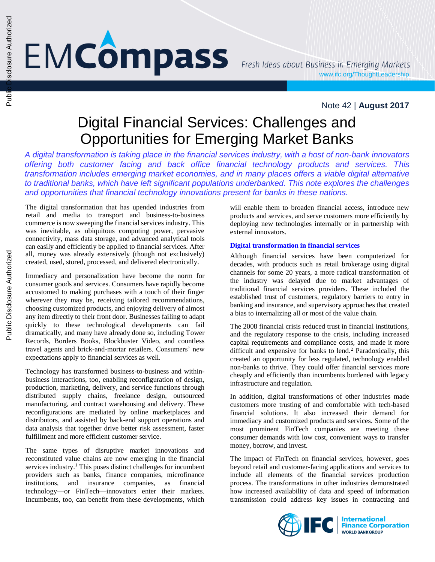# **EMCômpass**

### Note 42 | **August 2017**

## Digital Financial Services: Challenges and Opportunities for Emerging Market Banks

*A digital transformation is taking place in the financial services industry, with a host of non-bank innovators offering both customer facing and back office financial technology products and services. This transformation includes emerging market economies, and in many places offers a viable digital alternative to traditional banks, which have left significant populations underbanked. This note explores the challenges and opportunities that financial technology innovations present for banks in these nations.*

The digital transformation that has upended industries from retail and media to transport and business-to-business commerce is now sweeping the financial services industry. This was inevitable, as ubiquitous computing power, pervasive connectivity, mass data storage, and advanced analytical tools can easily and efficiently be applied to financial services. After all, money was already extensively (though not exclusively) created, used, stored, processed, and delivered electronically.

Immediacy and personalization have become the norm for consumer goods and services. Consumers have rapidly become accustomed to making purchases with a touch of their finger wherever they may be, receiving tailored recommendations, choosing customized products, and enjoying delivery of almost any item directly to their front door. Businesses failing to adapt quickly to these technological developments can fail dramatically, and many have already done so, including Tower Records, Borders Books, Blockbuster Video, and countless travel agents and brick-and-mortar retailers. Consumers' new expectations apply to financial services as well.

Technology has transformed business-to-business and withinbusiness interactions, too, enabling reconfiguration of design, production, marketing, delivery, and service functions through distributed supply chains, freelance design, outsourced manufacturing, and contract warehousing and delivery. These reconfigurations are mediated by online marketplaces and distributors, and assisted by back-end support operations and data analysis that together drive better risk assessment, faster fulfillment and more efficient customer service.

The same types of disruptive market innovations and reconstituted value chains are now emerging in the financial services industry.<sup>1</sup> This poses distinct challenges for incumbent providers such as banks, finance companies, microfinance institutions, and insurance companies, as financial technology—or FinTech—innovators enter their markets. Incumbents, too, can benefit from these developments, which

will enable them to broaden financial access, introduce new products and services, and serve customers more efficiently by deploying new technologies internally or in partnership with external innovators.

#### **Digital transformation in financial services**

Although financial services have been computerized for decades, with products such as retail brokerage using digital channels for some 20 years, a more radical transformation of the industry was delayed due to market advantages of traditional financial services providers. These included the established trust of customers, regulatory barriers to entry in banking and insurance, and supervisory approaches that created a bias to internalizing all or most of the value chain.

The 2008 financial crisis reduced trust in financial institutions, and the regulatory response to the crisis, including increased capital requirements and compliance costs, and made it more difficult and expensive for banks to lend.<sup>2</sup> Paradoxically, this created an opportunity for less regulated, technology enabled non-banks to thrive. They could offer financial services more cheaply and efficiently than incumbents burdened with legacy infrastructure and regulation.

In addition, digital transformations of other industries made customers more trusting of and comfortable with tech-based financial solutions. It also increased their demand for immediacy and customized products and services. Some of the most prominent FinTech companies are meeting these consumer demands with low cost, convenient ways to transfer money, borrow, and invest.

The impact of FinTech on financial services, however, goes beyond retail and customer-facing applications and services to include all elements of the financial services production process. The transformations in other industries demonstrated how increased availability of data and speed of information transmission could address key issues in contracting and

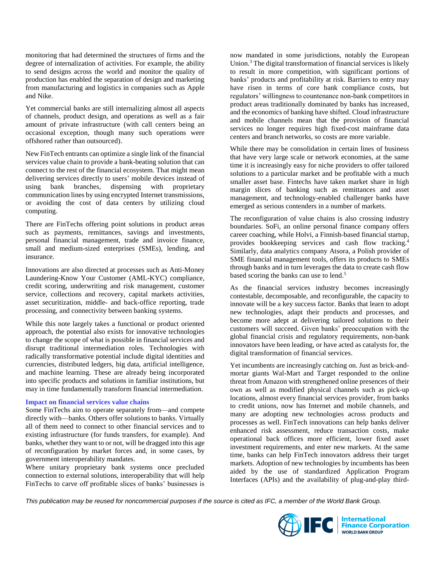monitoring that had determined the structures of firms and the degree of internalization of activities. For example, the ability to send designs across the world and monitor the quality of production has enabled the separation of design and marketing from manufacturing and logistics in companies such as Apple and Nike.

Yet commercial banks are still internalizing almost all aspects of channels, product design, and operations as well as a fair amount of private infrastructure (with call centers being an occasional exception, though many such operations were offshored rather than outsourced).

New FinTech entrants can optimize a single link of the financial services value chain to provide a bank-beating solution that can connect to the rest of the financial ecosystem. That might mean delivering services directly to users' mobile devices instead of using bank branches, dispensing with proprietary communication lines by using encrypted Internet transmissions, or avoiding the cost of data centers by utilizing cloud computing.

There are FinTechs offering point solutions in product areas such as payments, remittances, savings and investments, personal financial management, trade and invoice finance, small and medium-sized enterprises (SMEs), lending, and insurance.

Innovations are also directed at processes such as Anti-Money Laundering-Know Your Customer (AML-KYC) compliance, credit scoring, underwriting and risk management, customer service, collections and recovery, capital markets activities, asset securitization, middle- and back-office reporting, trade processing, and connectivity between banking systems.

While this note largely takes a functional or product oriented approach, the potential also exists for innovative technologies to change the scope of what is possible in financial services and disrupt traditional intermediation roles. Technologies with radically transformative potential include digital identities and currencies, distributed ledgers, big data, artificial intelligence, and machine learning. These are already being incorporated into specific products and solutions in familiar institutions, but may in time fundamentally transform financial intermediation.

#### **Impact on financial services value chains**

Some FinTechs aim to operate separately from—and compete directly with—banks. Others offer solutions to banks. Virtually all of them need to connect to other financial services and to existing infrastructure (for funds transfers, for example). And banks, whether they want to or not, will be dragged into this age of reconfiguration by market forces and, in some cases, by government interoperability mandates.

Where unitary proprietary bank systems once precluded connection to external solutions, interoperability that will help FinTechs to carve off profitable slices of banks' businesses is now mandated in some jurisdictions, notably the European Union.<sup>3</sup> The digital transformation of financial services is likely to result in more competition, with significant portions of banks' products and profitability at risk. Barriers to entry may have risen in terms of core bank compliance costs, but regulators' willingness to countenance non-bank competitors in product areas traditionally dominated by banks has increased, and the economics of banking have shifted. Cloud infrastructure and mobile channels mean that the provision of financial services no longer requires high fixed-cost mainframe data centers and branch networks, so costs are more variable.

While there may be consolidation in certain lines of business that have very large scale or network economies, at the same time it is increasingly easy for niche providers to offer tailored solutions to a particular market and be profitable with a much smaller asset base. Fintechs have taken market share in high margin slices of banking such as remittances and asset management, and technology-enabled challenger banks have emerged as serious contenders in a number of markets.

The reconfiguration of value chains is also crossing industry boundaries. SoFi, an online personal finance company offers career coaching, while Holvi, a Finnish-based financial startup, provides bookkeeping services and cash flow tracking. 4 Similarly, data analytics company Atsora, a Polish provider of SME financial management tools, offers its products to SMEs through banks and in turn leverages the data to create cash flow based scoring the banks can use to lend.<sup>5</sup>

As the financial services industry becomes increasingly contestable, decomposable, and reconfigurable, the capacity to innovate will be a key success factor. Banks that learn to adopt new technologies, adapt their products and processes, and become more adept at delivering tailored solutions to their customers will succeed. Given banks' preoccupation with the global financial crisis and regulatory requirements, non-bank innovators have been leading, or have acted as catalysts for, the digital transformation of financial services.

Yet incumbents are increasingly catching on. Just as brick-andmortar giants Wal-Mart and Target responded to the online threat from Amazon with strengthened online presences of their own as well as modified physical channels such as pick-up locations, almost every financial services provider, from banks to credit unions, now has Internet and mobile channels, and many are adopting new technologies across products and processes as well. FinTech innovations can help banks deliver enhanced risk assessment, reduce transaction costs, make operational back offices more efficient, lower fixed asset investment requirements, and enter new markets. At the same time, banks can help FinTech innovators address their target markets. Adoption of new technologies by incumbents has been aided by the use of standardized Application Program Interfaces (APIs) and the availability of plug-and-play third-

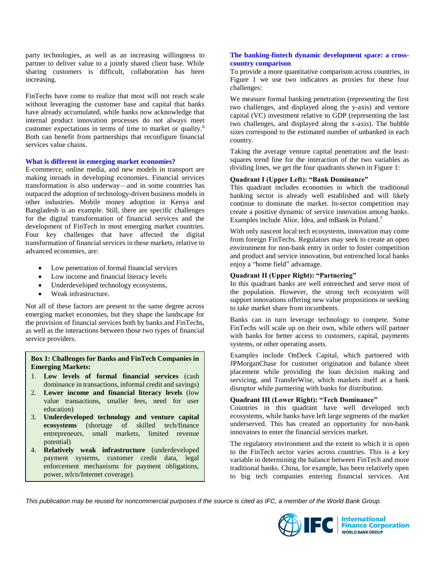party technologies, as well as an increasing willingness to partner to deliver value to a jointly shared client base. While sharing customers is difficult, collaboration has been increasing.

FinTechs have come to realize that most will not reach scale without leveraging the customer base and capital that banks have already accumulated, while banks now acknowledge that internal product innovation processes do not always meet customer expectations in terms of time to market or quality.<sup>6</sup> Both can benefit from partnerships that reconfigure financial services value chains.

#### **What is different in emerging market economies?**

E-commerce, online media, and new models in transport are making inroads in developing economies. Financial services transformation is also underway—and in some countries has outpaced the adoption of technology-driven business models in other industries. Mobile money adoption in Kenya and Bangladesh is an example. Still, there are specific challenges for the digital transformation of financial services and the development of FinTech in most emerging market countries. Four key challenges that have affected the digital transformation of financial services in these markets, relative to advanced economies, are:

- Low penetration of formal financial services
- Low income and financial literacy levels
- Underdeveloped technology ecosystems,
- Weak infrastructure.

Not all of these factors are present to the same degree across emerging market economies, but they shape the landscape for the provision of financial services both by banks and FinTechs, as well as the interactions between those two types of financial service providers.

#### **Box 1: Challenges for Banks and FinTech Companies in Emerging Markets:**

- 1. **Low levels of formal financial services** (cash dominance in transactions, informal credit and savings)
- 2. **Lower income and financial literacy levels** (low value transactions, smaller fees, need for user education)
- 3. **Underdeveloped technology and venture capital ecosystems** (shortage of skilled tech/finance entrepreneurs, small markets, limited revenue potential)
- 4. **Relatively weak infrastructure** (underdeveloped payment systems, customer credit data, legal enforcement mechanisms for payment obligations, power, telco/Internet coverage).

#### **The banking-fintech dynamic development space: a crosscountry comparison**

To provide a more quantitative comparison across countries, in Figure 1 we use two indicators as proxies for these four challenges:

We measure formal banking penetration (representing the first two challenges, and displayed along the y-axis) and venture capital (VC) investment relative to GDP (representing the last two challenges, and displayed along the x-axis). The bubble sizes correspond to the estimated number of unbanked in each country.

Taking the average venture capital penetration and the leastsquares trend line for the interaction of the two variables as dividing lines, we get the four quadrants shown in Figure 1:

#### **Quadrant I (Upper Left): "Bank Dominance"**

This quadrant includes economies in which the traditional banking sector is already well established and will likely continue to dominate the market. In-sector competition may create a positive dynamic of service innovation among banks. Examples include Alior, Idea, and mBank in Poland. 7

With only nascent local tech ecosystems, innovation may come from foreign FinTechs. Regulators may seek to create an open environment for non-bank entry in order to foster competition and product and service innovation, but entrenched local banks enjoy a "home field" advantage.

#### **Quadrant II (Upper Right): "Partnering"**

In this quadrant banks are well entrenched and serve most of the population. However, the strong tech ecosystem will support innovations offering new value propositions or seeking to take market share from incumbents.

Banks can in turn leverage technology to compete. Some FinTechs will scale up on their own, while others will partner with banks for better access to customers, capital, payments systems, or other operating assets.

Examples include OnDeck Capital, which partnered with JPMorganChase for customer origination and balance sheet placement while providing the loan decision making and servicing, and TransferWise, which markets itself as a bank disruptor while partnering with banks for distribution.

#### **Quadrant III (Lower Right): "Tech Dominance"**

Countries in this quadrant have well developed tech ecosystems, while banks have left large segments of the market underserved. This has created an opportunity for non-bank innovators to enter the financial services market.

The regulatory environment and the extent to which it is open to the FinTech sector varies across countries. This is a key variable in determining the balance between FinTech and more traditional banks. China, for example, has been relatively open to big tech companies entering financial services. Ant

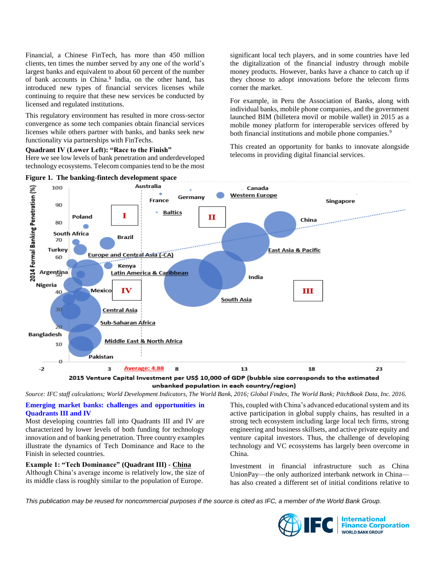Financial, a Chinese FinTech, has more than 450 million clients, ten times the number served by any one of the world's largest banks and equivalent to about 60 percent of the number of bank accounts in China. 8 India, on the other hand, has introduced new types of financial services licenses while continuing to require that these new services be conducted by licensed and regulated institutions.

This regulatory environment has resulted in more cross-sector convergence as some tech companies obtain financial services licenses while others partner with banks, and banks seek new functionality via partnerships with FinTechs.

**Quadrant IV (Lower Left): "Race to the Finish"**

Here we see low levels of bank penetration and underdeveloped technology ecosystems. Telecom companies tend to be the most significant local tech players, and in some countries have led the digitalization of the financial industry through mobile money products. However, banks have a chance to catch up if they choose to adopt innovations before the telecom firms corner the market.

For example, in Peru the Association of Banks, along with individual banks, mobile phone companies, and the government launched BIM (billetera movil or mobile wallet) in 2015 as a mobile money platform for interoperable services offered by both financial institutions and mobile phone companies.<sup>9</sup>

This created an opportunity for banks to innovate alongside telecoms in providing digital financial services.



unbanked population in each country/region)

*Source: IFC staff calculations; World Development Indicators, The World Bank, 2016; Global Findex, The World Bank; PitchBook Data, Inc. 2016.*

**Emerging market banks: challenges and opportunities in Quadrants III and IV**

Most developing countries fall into Quadrants III and IV are characterized by lower levels of both funding for technology innovation and of banking penetration. Three country examples illustrate the dynamics of Tech Dominance and Race to the Finish in selected countries.

**Example 1: "Tech Dominance" (Quadrant III) - China** Although China's average income is relatively low, the size of its middle class is roughly similar to the population of Europe.

This, coupled with China's advanced educational system and its active participation in global supply chains, has resulted in a strong tech ecosystem including large local tech firms, strong engineering and business skillsets, and active private equity and venture capital investors. Thus, the challenge of developing technology and VC ecosystems has largely been overcome in China.

Investment in financial infrastructure such as China UnionPay—the only authorized interbank network in China has also created a different set of initial conditions relative to

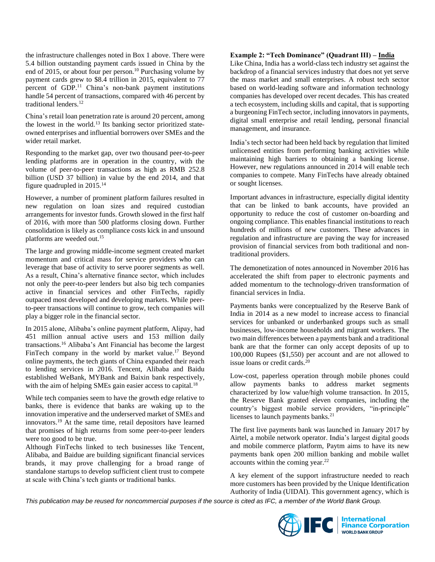the infrastructure challenges noted in Box 1 above. There were 5.4 billion outstanding payment cards issued in China by the end of 2015, or about four per person. <sup>10</sup> Purchasing volume by payment cards grew to \$8.4 trillion in 2015, equivalent to 77 percent of GDP. <sup>11</sup> China's non-bank payment institutions handle 54 percent of transactions, compared with 46 percent by traditional lenders.<sup>12</sup>

China's retail loan penetration rate is around 20 percent, among the lowest in the world.<sup>13</sup> Its banking sector prioritized stateowned enterprises and influential borrowers over SMEs and the wider retail market.

Responding to the market gap, over two thousand peer-to-peer lending platforms are in operation in the country, with the volume of peer-to-peer transactions as high as RMB 252.8 billion (USD 37 billion) in value by the end 2014, and that figure quadrupled in 2015.<sup>14</sup>

However, a number of prominent platform failures resulted in new regulation on loan sizes and required custodian arrangements for investor funds. Growth slowed in the first half of 2016, with more than 500 platforms closing down. Further consolidation is likely as compliance costs kick in and unsound platforms are weeded out.<sup>15</sup>

The large and growing middle-income segment created market momentum and critical mass for service providers who can leverage that base of activity to serve poorer segments as well. As a result, China's alternative finance sector, which includes not only the peer-to-peer lenders but also big tech companies active in financial services and other FinTechs, rapidly outpaced most developed and developing markets. While peerto-peer transactions will continue to grow, tech companies will play a bigger role in the financial sector.

In 2015 alone, Alibaba's online payment platform, Alipay, had 451 million annual active users and 153 million daily transactions. <sup>16</sup> Alibaba's Ant Financial has become the largest FinTech company in the world by market value.<sup>17</sup> Beyond online payments, the tech giants of China expanded their reach to lending services in 2016. Tencent, Alibaba and Baidu established WeBank, MYBank and Baixin bank respectively, with the aim of helping SMEs gain easier access to capital.<sup>18</sup>

While tech companies seem to have the growth edge relative to banks, there is evidence that banks are waking up to the innovation imperative and the underserved market of SMEs and innovators. <sup>19</sup> At the same time, retail depositors have learned that promises of high returns from some peer-to-peer lenders were too good to be true.

Although FinTechs linked to tech businesses like Tencent, Alibaba, and Baidue are building significant financial services brands, it may prove challenging for a broad range of standalone startups to develop sufficient client trust to compete at scale with China's tech giants or traditional banks.

#### **Example 2: "Tech Dominance" (Quadrant III) – India**

Like China, India has a world-class tech industry set against the backdrop of a financial services industry that does not yet serve the mass market and small enterprises. A robust tech sector based on world-leading software and information technology companies has developed over recent decades. This has created a tech ecosystem, including skills and capital, that is supporting a burgeoning FinTech sector, including innovators in payments, digital small enterprise and retail lending, personal financial management, and insurance.

India's tech sector had been held back by regulation that limited unlicensed entities from performing banking activities while maintaining high barriers to obtaining a banking license. However, new regulations announced in 2014 will enable tech companies to compete. Many FinTechs have already obtained or sought licenses.

Important advances in infrastructure, especially digital identity that can be linked to bank accounts, have provided an opportunity to reduce the cost of customer on-boarding and ongoing compliance. This enables financial institutions to reach hundreds of millions of new customers. These advances in regulation and infrastructure are paving the way for increased provision of financial services from both traditional and nontraditional providers.

The demonetization of notes announced in November 2016 has accelerated the shift from paper to electronic payments and added momentum to the technology-driven transformation of financial services in India.

Payments banks were conceptualized by the Reserve Bank of India in 2014 as a new model to increase access to financial services for unbanked or underbanked groups such as small businesses, low-income households and migrant workers. The two main differences between a payments bank and a traditional bank are that the former can only accept deposits of up to 100,000 Rupees (\$1,550) per account and are not allowed to issue loans or credit cards. $^{20}$ 

Low-cost, paperless operation through mobile phones could allow payments banks to address market segments characterized by low value/high volume transaction. In 2015, the Reserve Bank granted eleven companies, including the country's biggest mobile service providers, "in-principle" licenses to launch payments banks.<sup>21</sup>

The first live payments bank was launched in January 2017 by Airtel, a mobile network operator. India's largest digital goods and mobile commerce platform, Paytm aims to have its new payments bank open 200 million banking and mobile wallet accounts within the coming year. $^{22}$ 

A key element of the support infrastructure needed to reach more customers has been provided by the Unique Identification Authority of India (UIDAI). This government agency, which is

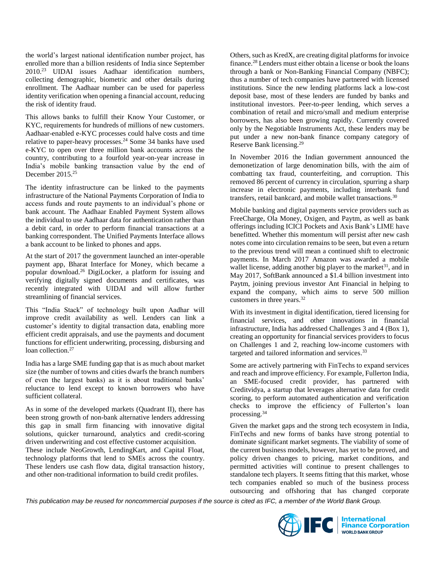the world's largest national identification number project, has enrolled more than a billion residents of India since September 2010.<sup>23</sup> UIDAI issues Aadhaar identification numbers, collecting demographic, biometric and other details during enrollment. The Aadhaar number can be used for paperless identity verification when opening a financial account, reducing the risk of identity fraud.

This allows banks to fulfill their Know Your Customer, or KYC, requirements for hundreds of millions of new customers. Aadhaar-enabled e-KYC processes could halve costs and time relative to paper-heavy processes. <sup>24</sup> Some 34 banks have used e-KYC to open over three million bank accounts across the country, contributing to a fourfold year-on-year increase in India's mobile banking transaction value by the end of December 2015. 25

The identity infrastructure can be linked to the payments infrastructure of the National Payments Corporation of India to access funds and route payments to an individual's phone or bank account. The Aadhaar Enabled Payment System allows the individual to use Aadhaar data for authentication rather than a debit card, in order to perform financial transactions at a banking correspondent. The Unified Payments Interface allows a bank account to be linked to phones and apps.

At the start of 2017 the government launched an inter-operable payment app, Bharat Interface for Money, which became a popular download.<sup>26</sup> DigiLocker, a platform for issuing and verifying digitally signed documents and certificates, was recently integrated with UIDAI and will allow further streamlining of financial services.

This "India Stack" of technology built upon Aadhar will improve credit availability as well. Lenders can link a customer's identity to digital transaction data, enabling more efficient credit appraisals, and use the payments and document functions for efficient underwriting, processing, disbursing and loan collection. 27

India has a large SME funding gap that is as much about market size (the number of towns and cities dwarfs the branch numbers of even the largest banks) as it is about traditional banks' reluctance to lend except to known borrowers who have sufficient collateral.

As in some of the developed markets (Quadrant II), there has been strong growth of non-bank alternative lenders addressing this gap in small firm financing with innovative digital solutions, quicker turnaround, analytics and credit-scoring driven underwriting and cost effective customer acquisition. These include NeoGrowth, LendingKart, and Capital Float, technology platforms that lend to SMEs across the country. These lenders use cash flow data, digital transaction history, and other non-traditional information to build credit profiles.

Others, such as KredX, are creating digital platforms for invoice finance.<sup>28</sup> Lenders must either obtain a license or book the loans through a bank or Non-Banking Financial Company (NBFC); thus a number of tech companies have partnered with licensed institutions. Since the new lending platforms lack a low-cost deposit base, most of these lenders are funded by banks and institutional investors. Peer-to-peer lending, which serves a combination of retail and micro/small and medium enterprise borrowers, has also been growing rapidly. Currently covered only by the Negotiable Instruments Act, these lenders may be put under a new non-bank finance company category of Reserve Bank licensing.<sup>29</sup>

In November 2016 the Indian government announced the demonetization of large denomination bills, with the aim of combatting tax fraud, counterfeiting, and corruption. This removed 86 percent of currency in circulation, spurring a sharp increase in electronic payments, including interbank fund transfers, retail bankcard, and mobile wallet transactions.<sup>30</sup>

Mobile banking and digital payments service providers such as FreeCharge, Ola Money, Oxigen, and Paytm, as well as bank offerings including ICICI Pockets and Axis Bank's LIME have benefitted. Whether this momentum will persist after new cash notes come into circulation remains to be seen, but even a return to the previous trend will mean a continued shift to electronic payments. In March 2017 Amazon was awarded a mobile wallet license, adding another big player to the market $31$ , and in May 2017, SoftBank announced a \$1.4 billion investment into Paytm, joining previous investor Ant Financial in helping to expand the company, which aims to serve 500 million customers in three years.<sup>32</sup>

With its investment in digital identification, tiered licensing for financial services, and other innovations in financial infrastructure, India has addressed Challenges 3 and 4 (Box 1), creating an opportunity for financial services providers to focus on Challenges 1 and 2, reaching low-income customers with targeted and tailored information and services.<sup>33</sup>

Some are actively partnering with FinTechs to expand services and reach and improve efficiency. For example, Fullerton India, an SME-focused credit provider, has partnered with Creditvidya, a startup that leverages alternative data for credit scoring, to perform automated authentication and verification checks to improve the efficiency of Fullerton's loan processing.<sup>34</sup>

Given the market gaps and the strong tech ecosystem in India, FinTechs and new forms of banks have strong potential to dominate significant market segments. The viability of some of the current business models, however, has yet to be proved, and policy driven changes to pricing, market conditions, and permitted activities will continue to present challenges to standalone tech players. It seems fitting that this market, whose tech companies enabled so much of the business process outsourcing and offshoring that has changed corporate

*This publication may be reused for noncommercial purposes if the source is cited as IFC, a member of the World Bank Group.*



**EC** Enternational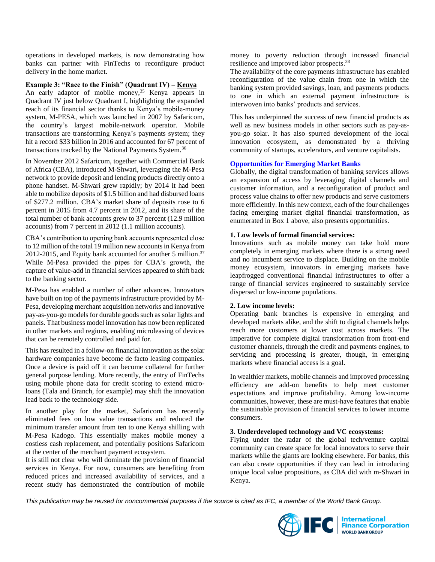operations in developed markets, is now demonstrating how banks can partner with FinTechs to reconfigure product delivery in the home market.

#### **Example 3: "Race to the Finish" (Quadrant IV) – Kenya**

An early adaptor of mobile money, <sup>35</sup> Kenya appears in Quadrant IV just below Quadrant I, highlighting the expanded reach of its financial sector thanks to Kenya's mobile-money system, M-PESA, which was launched in 2007 by Safaricom, the country's largest mobile-network operator. Mobile transactions are transforming Kenya's payments system; they hit a record \$33 billion in 2016 and accounted for 67 percent of transactions tracked by the National Payments System.<sup>36</sup>

In November 2012 Safaricom, together with Commercial Bank of Africa (CBA), introduced M-Shwari, leveraging the M-Pesa network to provide deposit and lending products directly onto a phone handset. M-Shwari grew rapidly; by 2014 it had been able to mobilize deposits of \$1.5 billion and had disbursed loans of \$277.2 million. CBA's market share of deposits rose to 6 percent in 2015 from 4.7 percent in 2012, and its share of the total number of bank accounts grew to 37 percent (12.9 million accounts) from 7 percent in 2012 (1.1 million accounts).

CBA's contribution to opening bank accounts represented close to 12 million of the total 19 million new accounts in Kenya from 2012-2015, and Equity bank accounted for another 5 million.<sup>37</sup> While M-Pesa provided the pipes for CBA's growth, the capture of value-add in financial services appeared to shift back to the banking sector.

M-Pesa has enabled a number of other advances. Innovators have built on top of the payments infrastructure provided by M-Pesa, developing merchant acquisition networks and innovative pay-as-you-go models for durable goods such as solar lights and panels. That business model innovation has now been replicated in other markets and regions, enabling microleasing of devices that can be remotely controlled and paid for.

This has resulted in a follow-on financial innovation as the solar hardware companies have become de facto leasing companies. Once a device is paid off it can become collateral for further general purpose lending. More recently, the entry of FinTechs using mobile phone data for credit scoring to extend microloans (Tala and Branch, for example) may shift the innovation lead back to the technology side.

In another play for the market, Safaricom has recently eliminated fees on low value transactions and reduced the minimum transfer amount from ten to one Kenya shilling with M-Pesa Kadogo. This essentially makes mobile money a costless cash replacement, and potentially positions Safaricom at the center of the merchant payment ecosystem.

It is still not clear who will dominate the provision of financial services in Kenya. For now, consumers are benefiting from reduced prices and increased availability of services, and a recent study has demonstrated the contribution of mobile

money to poverty reduction through increased financial resilience and improved labor prospects.<sup>38</sup>

The availability of the core payments infrastructure has enabled reconfiguration of the value chain from one in which the banking system provided savings, loan, and payments products to one in which an external payment infrastructure is interwoven into banks' products and services.

This has underpinned the success of new financial products as well as new business models in other sectors such as pay-asyou-go solar. It has also spurred development of the local innovation ecosystem, as demonstrated by a thriving community of startups, accelerators, and venture capitalists.

#### **Opportunities for Emerging Market Banks**

Globally, the digital transformation of banking services allows an expansion of access by leveraging digital channels and customer information, and a reconfiguration of product and process value chains to offer new products and serve customers more efficiently. In this new context, each of the four challenges facing emerging market digital financial transformation, as enumerated in Box 1 above, also presents opportunities.

#### **1. Low levels of formal financial services:**

Innovations such as mobile money can take hold more completely in emerging markets where there is a strong need and no incumbent service to displace. Building on the mobile money ecosystem, innovators in emerging markets have leapfrogged conventional financial infrastructures to offer a range of financial services engineered to sustainably service dispersed or low-income populations.

#### **2. Low income levels:**

Operating bank branches is expensive in emerging and developed markets alike, and the shift to digital channels helps reach more customers at lower cost across markets. The imperative for complete digital transformation from front-end customer channels, through the credit and payments engines, to servicing and processing is greater, though, in emerging markets where financial access is a goal.

In wealthier markets, mobile channels and improved processing efficiency are add-on benefits to help meet customer expectations and improve profitability. Among low-income communities, however, these are must-have features that enable the sustainable provision of financial services to lower income consumers.

#### **3. Underdeveloped technology and VC ecosystems:**

Flying under the radar of the global tech/venture capital community can create space for local innovators to serve their markets while the giants are looking elsewhere. For banks, this can also create opportunities if they can lead in introducing unique local value propositions, as CBA did with m-Shwari in Kenya.

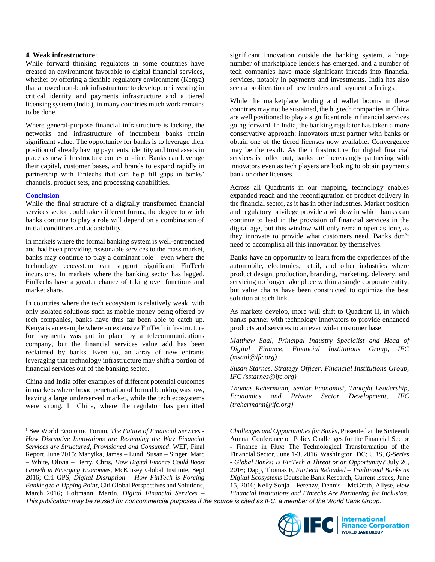#### **4. Weak infrastructure**:

While forward thinking regulators in some countries have created an environment favorable to digital financial services, whether by offering a flexible regulatory environment (Kenya) that allowed non-bank infrastructure to develop, or investing in critical identity and payments infrastructure and a tiered licensing system (India), in many countries much work remains to be done.

Where general-purpose financial infrastructure is lacking, the networks and infrastructure of incumbent banks retain significant value. The opportunity for banks is to leverage their position of already having payments, identity and trust assets in place as new infrastructure comes on-line. Banks can leverage their capital, customer bases, and brands to expand rapidly in partnership with Fintechs that can help fill gaps in banks' channels, product sets, and processing capabilities.

#### **Conclusion**

 $\overline{a}$ 

While the final structure of a digitally transformed financial services sector could take different forms, the degree to which banks continue to play a role will depend on a combination of initial conditions and adaptability.

In markets where the formal banking system is well-entrenched and had been providing reasonable services to the mass market, banks may continue to play a dominant role—even where the technology ecosystem can support significant FinTech incursions. In markets where the banking sector has lagged, FinTechs have a greater chance of taking over functions and market share.

In countries where the tech ecosystem is relatively weak, with only isolated solutions such as mobile money being offered by tech companies, banks have thus far been able to catch up. Kenya is an example where an extensive FinTech infrastructure for payments was put in place by a telecommunications company, but the financial services value add has been reclaimed by banks. Even so, an array of new entrants leveraging that technology infrastructure may shift a portion of financial services out of the banking sector.

China and India offer examples of different potential outcomes in markets where broad penetration of formal banking was low, leaving a large underserved market, while the tech ecosystems were strong. In China, where the regulator has permitted significant innovation outside the banking system, a huge number of marketplace lenders has emerged, and a number of tech companies have made significant inroads into financial services, notably in payments and investments. India has also seen a proliferation of new lenders and payment offerings.

While the marketplace lending and wallet booms in these countries may not be sustained, the big tech companies in China are well positioned to play a significant role in financial services going forward. In India, the banking regulator has taken a more conservative approach: innovators must partner with banks or obtain one of the tiered licenses now available. Convergence may be the result. As the infrastructure for digital financial services is rolled out, banks are increasingly partnering with innovators even as tech players are looking to obtain payments bank or other licenses.

Across all Quadrants in our mapping, technology enables expanded reach and the reconfiguration of product delivery in the financial sector, as it has in other industries. Market position and regulatory privilege provide a window in which banks can continue to lead in the provision of financial services in the digital age, but this window will only remain open as long as they innovate to provide what customers need. Banks don't need to accomplish all this innovation by themselves.

Banks have an opportunity to learn from the experiences of the automobile, electronics, retail, and other industries where product design, production, branding, marketing, delivery, and servicing no longer take place within a single corporate entity, but value chains have been constructed to optimize the best solution at each link.

As markets develop, more will shift to Quadrant II, in which banks partner with technology innovators to provide enhanced products and services to an ever wider customer base.

*Matthew Saal, Principal Industry Specialist and Head of Digital Finance, Financial Institutions Group, IFC (msaal@ifc.org)* 

*Susan Starnes, Strategy Officer, Financial Institutions Group, IFC [\(sstarnes@ifc.org\)](mailto:sstarnes@ifc.org)*

*Thomas Rehermann, Senior Economist, Thought Leadership, Economics and Private Sector Development, IFC (trehermann@ifc.org)*

*Challenges and Opportunities for Banks*, Presented at the Sixteenth Annual Conference on Policy Challenges for the Financial Sector - Finance in Flux: The Technological Transformation of the Financial Sector, June 1-3, 2016, Washington, DC; UBS, *Q-Series - Global Banks: Is FinTech a Threat or an Opportunity?* July 26, 2016; Dapp, Thomas F, *FinTech Reloaded – Traditional Banks as Digital Ecosystems* Deutsche Bank Research, Current Issues, June 15, 2016; Kelly Sonja – Ferenzy, Dennis – McGrath, Allyse, *How Financial Institutions and Fintechs Are Partnering for Inclusion:* 



<sup>1</sup> See World Economic Forum, *The Future of Financial Services - How Disruptive Innovations are Reshaping the Way Financial Services are Structured, Provisioned and Consumed*, WEF, Final Report, June 2015; Manyika, James – Lund, Susan – Singer, Marc – White, Olivia – Berry, Chris, *How Digital Finance Could Boost Growth in Emerging Economies*, McKinsey Global Institute, Sept 2016; Citi GPS, *Digital Disruption – How FinTech is Forcing Banking to a Tipping Point*, Citi Global Perspectives and Solutions, March 2016**;** Holtmann, Martin, *Digital Financial Services –*